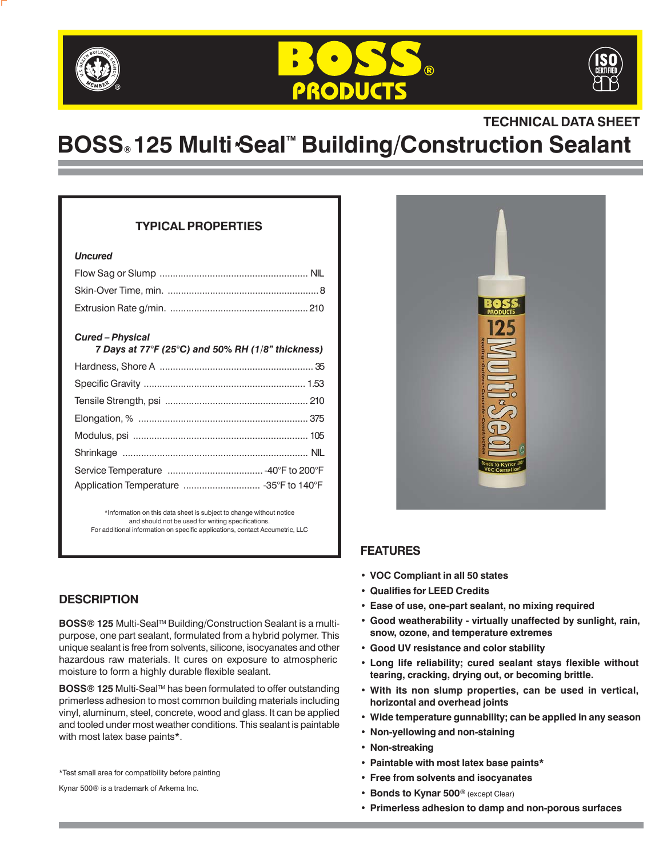





## **TECHNICAL DATA SHEET**

# **BOSS**® 125 Multi Seal<sup>™</sup> Building/Construction Sealant

#### **TYPICAL PROPERTIES**

#### *Uncured*

#### *Cured – Physical*

| 7 Days at $77^{\circ}F$ (25 $^{\circ}C$ ) and 50% RH (1/8" thickness) |  |
|-----------------------------------------------------------------------|--|
|                                                                       |  |
|                                                                       |  |
|                                                                       |  |
|                                                                       |  |
|                                                                       |  |
|                                                                       |  |
|                                                                       |  |
|                                                                       |  |

\*Information on this data sheet is subject to change without notice and should not be used for writing specifications. For additional information on specific applications, contact Accumetric, LLC

#### **DESCRIPTION**

**BOSS® 125 Multi-Seal™ Building/Construction Sealant is a multi**purpose, one part sealant, formulated from a hybrid polymer. This unique sealant is free from solvents, silicone, isocyanates and other hazardous raw materials. It cures on exposure to atmospheric moisture to form a highly durable flexible sealant.

**BOSS<sup>®</sup> 125** Multi-Seal™ has been formulated to offer outstanding primerless adhesion to most common building materials including vinyl, aluminum, steel, concrete, wood and glass. It can be applied and tooled under most weather conditions. This sealant is paintable with most latex base paints\*.

\*Test small area for compatibility before painting

Kynar 500® is a trademark of Arkema Inc.



#### **FEATURES**

- **• VOC Compliant in all 50 states**
- **• Qualifies for LEED Credits**
- **• Ease of use, one-part sealant, no mixing required**
- **• Good weatherability virtually unaffected by sunlight, rain, snow, ozone, and temperature extremes**
- **• Good UV resistance and color stability**
- **• Long life reliability; cured sealant stays flexible without tearing, cracking, drying out, or becoming brittle.**
- **• With its non slump properties, can be used in vertical, horizontal and overhead joints**
- **• Wide temperature gunnability; can be applied in any season**
- **• Non-yellowing and non-staining**
- **• Non-streaking**
- **• Paintable with most latex base paints\***
- **• Free from solvents and isocyanates**
- **• Bonds to Kynar 500®** (except Clear)
- **• Primerless adhesion to damp and non-porous surfaces**